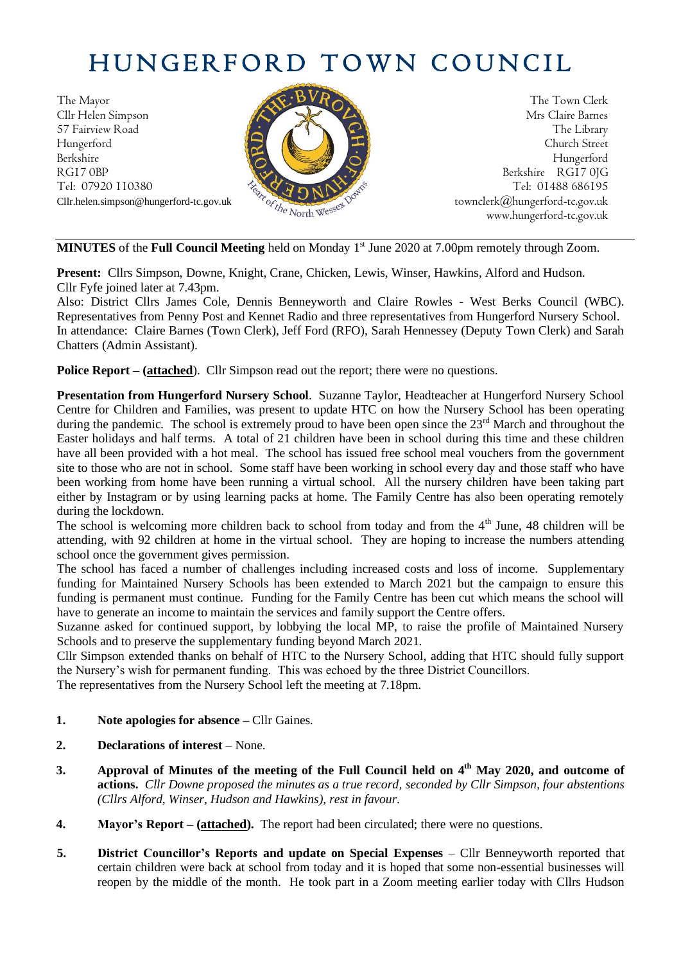# HUNGERFORD TOWN COUNCIL

The Mayor The Town Clerk Cllr Helen Simpson Mrs Claire Barnes 57 Fairview Road The Library (2008) The Library Hungerford Church Street Berkshire Hungerford RG17 0BP Berkshire RG17 0JG Cllr.helen.simpson@hungerford-tc.gov.uk [townclerk@hungerford-tc.gov.uk](mailto:townclerk@hungerford-tc.gov.uk)



Tel: 07920 110380 Tel: 01488 686195<br>Cllr.helen.simpson@hungerford-tc.gov.uk<br>www.bungerford-tc.gov.uk<br>www.bungerford-tc.gov.uk www.hungerford-tc.gov.uk

**MINUTES** of the **Full Council Meeting** held on Monday 1 st June 2020 at 7.00pm remotely through Zoom.

**Present:** Cllrs Simpson, Downe, Knight, Crane, Chicken, Lewis, Winser, Hawkins, Alford and Hudson. Cllr Fyfe joined later at 7.43pm.

Also: District Cllrs James Cole, Dennis Benneyworth and Claire Rowles - West Berks Council (WBC). Representatives from Penny Post and Kennet Radio and three representatives from Hungerford Nursery School. In attendance: Claire Barnes (Town Clerk), Jeff Ford (RFO), Sarah Hennessey (Deputy Town Clerk) and Sarah Chatters (Admin Assistant).

**Police Report – (attached**). Cllr Simpson read out the report; there were no questions.

**Presentation from Hungerford Nursery School**. Suzanne Taylor, Headteacher at Hungerford Nursery School Centre for Children and Families, was present to update HTC on how the Nursery School has been operating during the pandemic. The school is extremely proud to have been open since the  $23<sup>rd</sup>$  March and throughout the Easter holidays and half terms. A total of 21 children have been in school during this time and these children have all been provided with a hot meal. The school has issued free school meal vouchers from the government site to those who are not in school. Some staff have been working in school every day and those staff who have been working from home have been running a virtual school. All the nursery children have been taking part either by Instagram or by using learning packs at home. The Family Centre has also been operating remotely during the lockdown.

The school is welcoming more children back to school from today and from the 4<sup>th</sup> June, 48 children will be attending, with 92 children at home in the virtual school. They are hoping to increase the numbers attending school once the government gives permission.

The school has faced a number of challenges including increased costs and loss of income. Supplementary funding for Maintained Nursery Schools has been extended to March 2021 but the campaign to ensure this funding is permanent must continue. Funding for the Family Centre has been cut which means the school will have to generate an income to maintain the services and family support the Centre offers.

Suzanne asked for continued support, by lobbying the local MP, to raise the profile of Maintained Nursery Schools and to preserve the supplementary funding beyond March 2021.

Cllr Simpson extended thanks on behalf of HTC to the Nursery School, adding that HTC should fully support the Nursery's wish for permanent funding. This was echoed by the three District Councillors.

The representatives from the Nursery School left the meeting at 7.18pm.

- **1. Note apologies for absence –** Cllr Gaines.
- **2. Declarations of interest** None.
- **3. Approval of Minutes of the meeting of the Full Council held on 4 th May 2020, and outcome of actions.** *Cllr Downe proposed the minutes as a true record, seconded by Cllr Simpson, four abstentions (Cllrs Alford, Winser, Hudson and Hawkins), rest in favour.*
- **4. Mayor's Report – (attached).** The report had been circulated; there were no questions.
- **5. District Councillor's Reports and update on Special Expenses** Cllr Benneyworth reported that certain children were back at school from today and it is hoped that some non-essential businesses will reopen by the middle of the month. He took part in a Zoom meeting earlier today with Cllrs Hudson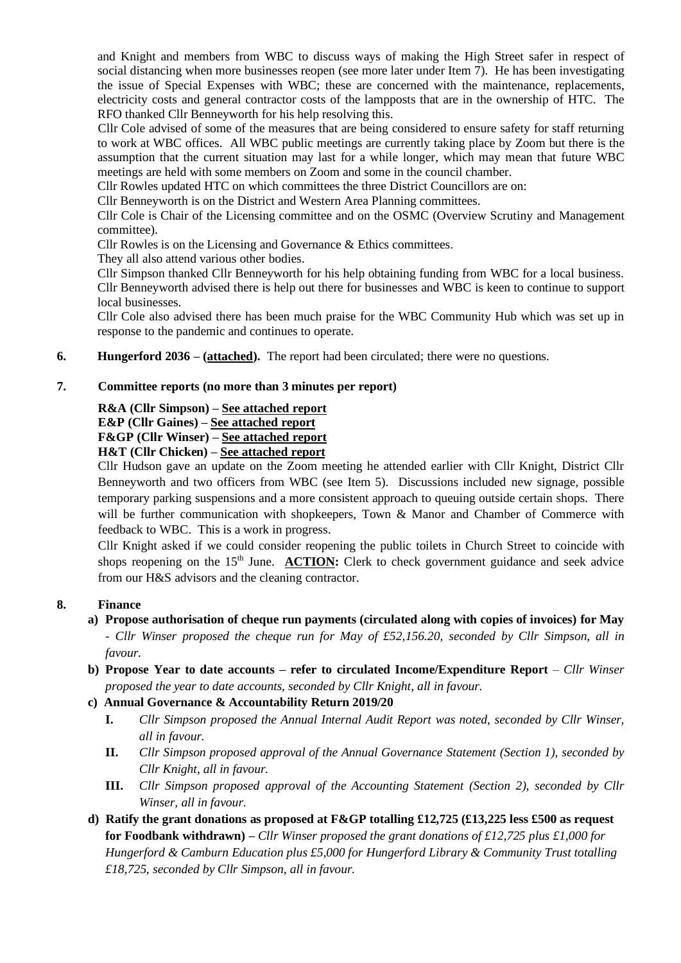and Knight and members from WBC to discuss ways of making the High Street safer in respect of social distancing when more businesses reopen (see more later under Item 7). He has been investigating the issue of Special Expenses with WBC; these are concerned with the maintenance, replacements, electricity costs and general contractor costs of the lampposts that are in the ownership of HTC. The RFO thanked Cllr Benneyworth for his help resolving this.

Cllr Cole advised of some of the measures that are being considered to ensure safety for staff returning to work at WBC offices. All WBC public meetings are currently taking place by Zoom but there is the assumption that the current situation may last for a while longer, which may mean that future WBC meetings are held with some members on Zoom and some in the council chamber.

Cllr Rowles updated HTC on which committees the three District Councillors are on:

Cllr Benneyworth is on the District and Western Area Planning committees.

Cllr Cole is Chair of the Licensing committee and on the OSMC (Overview Scrutiny and Management committee).

Cllr Rowles is on the Licensing and Governance & Ethics committees.

They all also attend various other bodies.

Cllr Simpson thanked Cllr Benneyworth for his help obtaining funding from WBC for a local business. Cllr Benneyworth advised there is help out there for businesses and WBC is keen to continue to support local businesses.

Cllr Cole also advised there has been much praise for the WBC Community Hub which was set up in response to the pandemic and continues to operate.

**6. Hungerford 2036 – (attached).** The report had been circulated; there were no questions.

#### **7. Committee reports (no more than 3 minutes per report)**

#### **R&A (Cllr Simpson) – See attached report**

**E&P (Cllr Gaines) – See attached report**

**F&GP (Cllr Winser) – See attached report**

**H&T (Cllr Chicken) – See attached report**

Cllr Hudson gave an update on the Zoom meeting he attended earlier with Cllr Knight, District Cllr Benneyworth and two officers from WBC (see Item 5). Discussions included new signage, possible temporary parking suspensions and a more consistent approach to queuing outside certain shops. There will be further communication with shopkeepers, Town & Manor and Chamber of Commerce with feedback to WBC. This is a work in progress.

Cllr Knight asked if we could consider reopening the public toilets in Church Street to coincide with shops reopening on the 15<sup>th</sup> June. **ACTION:** Clerk to check government guidance and seek advice from our H&S advisors and the cleaning contractor.

#### **8. Finance**

- **a) Propose authorisation of cheque run payments (circulated along with copies of invoices) for May** - *Cllr Winser proposed the cheque run for May of £52,156.20, seconded by Cllr Simpson, all in favour.*
- **b) Propose Year to date accounts – refer to circulated Income/Expenditure Report** *Cllr Winser proposed the year to date accounts, seconded by Cllr Knight, all in favour.*
- **c) Annual Governance & Accountability Return 2019/20**
	- **I.** *Cllr Simpson proposed the Annual Internal Audit Report was noted, seconded by Cllr Winser, all in favour.*
	- **II.** *Cllr Simpson proposed approval of the Annual Governance Statement (Section 1), seconded by Cllr Knight, all in favour.*
	- **III.** *Cllr Simpson proposed approval of the Accounting Statement (Section 2), seconded by Cllr Winser, all in favour.*
- **d) Ratify the grant donations as proposed at F&GP totalling £12,725 (£13,225 less £500 as request for Foodbank withdrawn) –** *Cllr Winser proposed the grant donations of £12,725 plus £1,000 for Hungerford & Camburn Education plus £5,000 for Hungerford Library & Community Trust totalling £18,725, seconded by Cllr Simpson, all in favour.*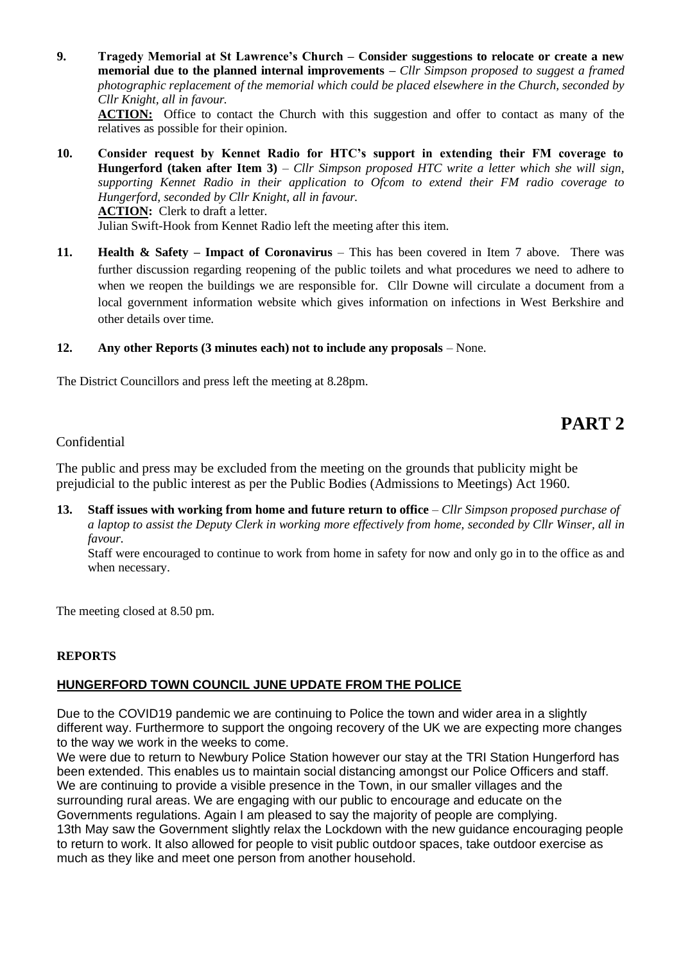**9. Tragedy Memorial at St Lawrence's Church – Consider suggestions to relocate or create a new memorial due to the planned internal improvements –** *Cllr Simpson proposed to suggest a framed photographic replacement of the memorial which could be placed elsewhere in the Church, seconded by Cllr Knight, all in favour.*

**ACTION:** Office to contact the Church with this suggestion and offer to contact as many of the relatives as possible for their opinion.

- **10. Consider request by Kennet Radio for HTC's support in extending their FM coverage to Hungerford (taken after Item 3)** – *Cllr Simpson proposed HTC write a letter which she will sign, supporting Kennet Radio in their application to Ofcom to extend their FM radio coverage to Hungerford, seconded by Cllr Knight, all in favour.* **ACTION:** Clerk to draft a letter. Julian Swift-Hook from Kennet Radio left the meeting after this item.
- **11. Health & Safety – Impact of Coronavirus** This has been covered in Item 7 above. There was further discussion regarding reopening of the public toilets and what procedures we need to adhere to when we reopen the buildings we are responsible for. Cllr Downe will circulate a document from a local government information website which gives information on infections in West Berkshire and other details over time.

#### **12. Any other Reports (3 minutes each) not to include any proposals** – None.

The District Councillors and press left the meeting at 8.28pm.

## **PART 2**

#### Confidential

The public and press may be excluded from the meeting on the grounds that publicity might be prejudicial to the public interest as per the Public Bodies (Admissions to Meetings) Act 1960.

**13. Staff issues with working from home and future return to office** – *Cllr Simpson proposed purchase of a laptop to assist the Deputy Clerk in working more effectively from home, seconded by Cllr Winser, all in favour.*

Staff were encouraged to continue to work from home in safety for now and only go in to the office as and when necessary.

The meeting closed at 8.50 pm.

#### **REPORTS**

#### **HUNGERFORD TOWN COUNCIL JUNE UPDATE FROM THE POLICE**

Due to the COVID19 pandemic we are continuing to Police the town and wider area in a slightly different way. Furthermore to support the ongoing recovery of the UK we are expecting more changes to the way we work in the weeks to come.

We were due to return to Newbury Police Station however our stay at the TRI Station Hungerford has been extended. This enables us to maintain social distancing amongst our Police Officers and staff. We are continuing to provide a visible presence in the Town, in our smaller villages and the surrounding rural areas. We are engaging with our public to encourage and educate on the Governments regulations. Again I am pleased to say the majority of people are complying. 13th May saw the Government slightly relax the Lockdown with the new guidance encouraging people to return to work. It also allowed for people to visit public outdoor spaces, take outdoor exercise as much as they like and meet one person from another household.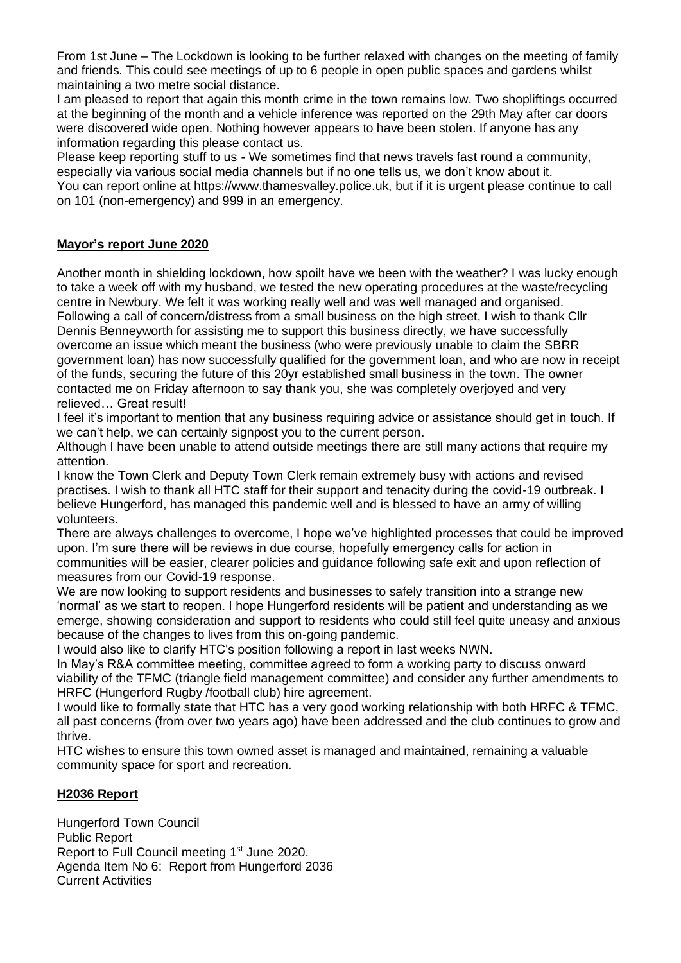From 1st June – The Lockdown is looking to be further relaxed with changes on the meeting of family and friends. This could see meetings of up to 6 people in open public spaces and gardens whilst maintaining a two metre social distance.

I am pleased to report that again this month crime in the town remains low. Two shopliftings occurred at the beginning of the month and a vehicle inference was reported on the 29th May after car doors were discovered wide open. Nothing however appears to have been stolen. If anyone has any information regarding this please contact us.

Please keep reporting stuff to us - We sometimes find that news travels fast round a community, especially via various social media channels but if no one tells us, we don't know about it. You can report online at https://www.thamesvalley.police.uk, but if it is urgent please continue to call on 101 (non-emergency) and 999 in an emergency.

#### **Mayor's report June 2020**

Another month in shielding lockdown, how spoilt have we been with the weather? I was lucky enough to take a week off with my husband, we tested the new operating procedures at the waste/recycling centre in Newbury. We felt it was working really well and was well managed and organised. Following a call of concern/distress from a small business on the high street, I wish to thank Cllr Dennis Benneyworth for assisting me to support this business directly, we have successfully overcome an issue which meant the business (who were previously unable to claim the SBRR government loan) has now successfully qualified for the government loan, and who are now in receipt of the funds, securing the future of this 20yr established small business in the town. The owner contacted me on Friday afternoon to say thank you, she was completely overjoyed and very relieved… Great result!

I feel it's important to mention that any business requiring advice or assistance should get in touch. If we can't help, we can certainly signpost you to the current person.

Although I have been unable to attend outside meetings there are still many actions that require my attention.

I know the Town Clerk and Deputy Town Clerk remain extremely busy with actions and revised practises. I wish to thank all HTC staff for their support and tenacity during the covid-19 outbreak. I believe Hungerford, has managed this pandemic well and is blessed to have an army of willing volunteers.

There are always challenges to overcome, I hope we've highlighted processes that could be improved upon. I'm sure there will be reviews in due course, hopefully emergency calls for action in communities will be easier, clearer policies and guidance following safe exit and upon reflection of measures from our Covid-19 response.

We are now looking to support residents and businesses to safely transition into a strange new 'normal' as we start to reopen. I hope Hungerford residents will be patient and understanding as we emerge, showing consideration and support to residents who could still feel quite uneasy and anxious because of the changes to lives from this on-going pandemic.

I would also like to clarify HTC's position following a report in last weeks NWN.

In May's R&A committee meeting, committee agreed to form a working party to discuss onward viability of the TFMC (triangle field management committee) and consider any further amendments to HRFC (Hungerford Rugby /football club) hire agreement.

I would like to formally state that HTC has a very good working relationship with both HRFC & TFMC, all past concerns (from over two years ago) have been addressed and the club continues to grow and thrive.

HTC wishes to ensure this town owned asset is managed and maintained, remaining a valuable community space for sport and recreation.

#### **H2036 Report**

Hungerford Town Council Public Report Report to Full Council meeting 1<sup>st</sup> June 2020. Agenda Item No 6: Report from Hungerford 2036 Current Activities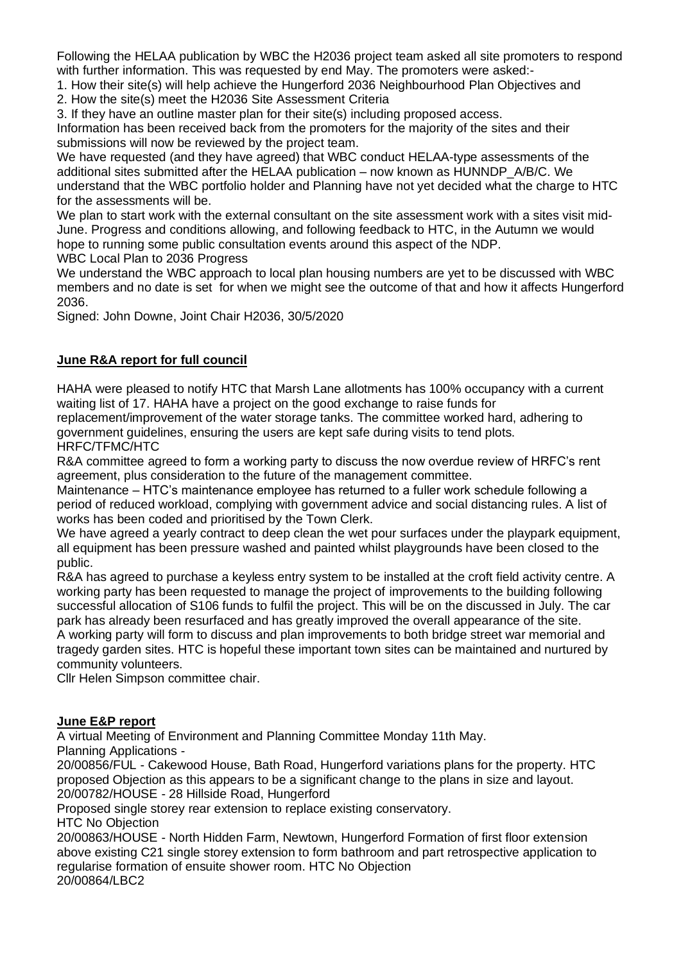Following the HELAA publication by WBC the H2036 project team asked all site promoters to respond with further information. This was requested by end May. The promoters were asked:-

1. How their site(s) will help achieve the Hungerford 2036 Neighbourhood Plan Objectives and

2. How the site(s) meet the H2036 Site Assessment Criteria

3. If they have an outline master plan for their site(s) including proposed access.

Information has been received back from the promoters for the majority of the sites and their submissions will now be reviewed by the project team.

We have requested (and they have agreed) that WBC conduct HELAA-type assessments of the additional sites submitted after the HELAA publication – now known as HUNNDP\_A/B/C. We understand that the WBC portfolio holder and Planning have not yet decided what the charge to HTC for the assessments will be.

We plan to start work with the external consultant on the site assessment work with a sites visit mid-June. Progress and conditions allowing, and following feedback to HTC, in the Autumn we would hope to running some public consultation events around this aspect of the NDP.

WBC Local Plan to 2036 Progress

We understand the WBC approach to local plan housing numbers are yet to be discussed with WBC members and no date is set for when we might see the outcome of that and how it affects Hungerford 2036.

Signed: John Downe, Joint Chair H2036, 30/5/2020

### **June R&A report for full council**

HAHA were pleased to notify HTC that Marsh Lane allotments has 100% occupancy with a current waiting list of 17. HAHA have a project on the good exchange to raise funds for

replacement/improvement of the water storage tanks. The committee worked hard, adhering to government guidelines, ensuring the users are kept safe during visits to tend plots. HRFC/TFMC/HTC

R&A committee agreed to form a working party to discuss the now overdue review of HRFC's rent agreement, plus consideration to the future of the management committee.

Maintenance – HTC's maintenance employee has returned to a fuller work schedule following a period of reduced workload, complying with government advice and social distancing rules. A list of works has been coded and prioritised by the Town Clerk.

We have agreed a yearly contract to deep clean the wet pour surfaces under the playpark equipment, all equipment has been pressure washed and painted whilst playgrounds have been closed to the public.

R&A has agreed to purchase a keyless entry system to be installed at the croft field activity centre. A working party has been requested to manage the project of improvements to the building following successful allocation of S106 funds to fulfil the project. This will be on the discussed in July. The car park has already been resurfaced and has greatly improved the overall appearance of the site. A working party will form to discuss and plan improvements to both bridge street war memorial and tragedy garden sites. HTC is hopeful these important town sites can be maintained and nurtured by community volunteers.

Cllr Helen Simpson committee chair.

#### **June E&P report**

A virtual Meeting of Environment and Planning Committee Monday 11th May.

Planning Applications -

20/00856/FUL - Cakewood House, Bath Road, Hungerford variations plans for the property. HTC proposed Objection as this appears to be a significant change to the plans in size and layout. 20/00782/HOUSE - 28 Hillside Road, Hungerford

Proposed single storey rear extension to replace existing conservatory.

HTC No Objection

20/00863/HOUSE - North Hidden Farm, Newtown, Hungerford Formation of first floor extension above existing C21 single storey extension to form bathroom and part retrospective application to regularise formation of ensuite shower room. HTC No Objection 20/00864/LBC2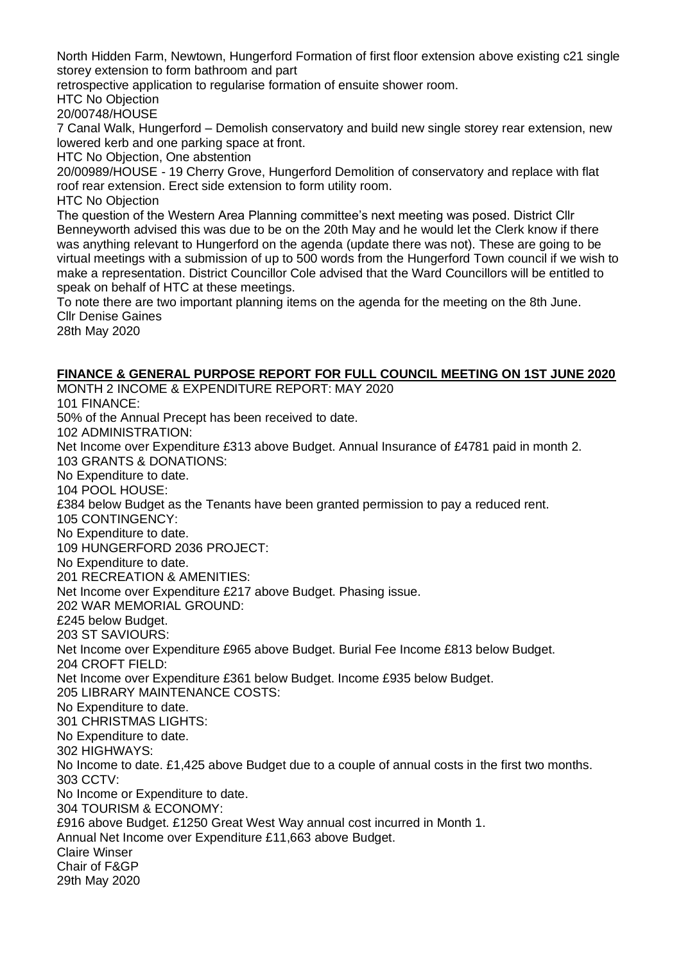North Hidden Farm, Newtown, Hungerford Formation of first floor extension above existing c21 single storey extension to form bathroom and part

retrospective application to regularise formation of ensuite shower room.

HTC No Objection

20/00748/HOUSE

7 Canal Walk, Hungerford – Demolish conservatory and build new single storey rear extension, new lowered kerb and one parking space at front.

HTC No Objection, One abstention

20/00989/HOUSE - 19 Cherry Grove, Hungerford Demolition of conservatory and replace with flat roof rear extension. Erect side extension to form utility room.

HTC No Objection

The question of the Western Area Planning committee's next meeting was posed. District Cllr Benneyworth advised this was due to be on the 20th May and he would let the Clerk know if there was anything relevant to Hungerford on the agenda (update there was not). These are going to be virtual meetings with a submission of up to 500 words from the Hungerford Town council if we wish to make a representation. District Councillor Cole advised that the Ward Councillors will be entitled to speak on behalf of HTC at these meetings.

To note there are two important planning items on the agenda for the meeting on the 8th June. Cllr Denise Gaines

28th May 2020

#### **FINANCE & GENERAL PURPOSE REPORT FOR FULL COUNCIL MEETING ON 1ST JUNE 2020**

MONTH 2 INCOME & EXPENDITURE REPORT: MAY 2020 101 FINANCE: 50% of the Annual Precept has been received to date. 102 ADMINISTRATION: Net Income over Expenditure £313 above Budget. Annual Insurance of £4781 paid in month 2. 103 GRANTS & DONATIONS: No Expenditure to date. 104 POOL HOUSE: £384 below Budget as the Tenants have been granted permission to pay a reduced rent. 105 CONTINGENCY: No Expenditure to date. 109 HUNGERFORD 2036 PROJECT: No Expenditure to date. 201 RECREATION & AMENITIES: Net Income over Expenditure £217 above Budget. Phasing issue. 202 WAR MEMORIAL GROUND: £245 below Budget. 203 ST SAVIOURS: Net Income over Expenditure £965 above Budget. Burial Fee Income £813 below Budget. 204 CROFT FIELD: Net Income over Expenditure £361 below Budget. Income £935 below Budget. 205 LIBRARY MAINTENANCE COSTS: No Expenditure to date. 301 CHRISTMAS LIGHTS: No Expenditure to date. 302 HIGHWAYS: No Income to date. £1,425 above Budget due to a couple of annual costs in the first two months. 303 CCTV: No Income or Expenditure to date. 304 TOURISM & ECONOMY: £916 above Budget. £1250 Great West Way annual cost incurred in Month 1. Annual Net Income over Expenditure £11,663 above Budget. Claire Winser Chair of F&GP 29th May 2020